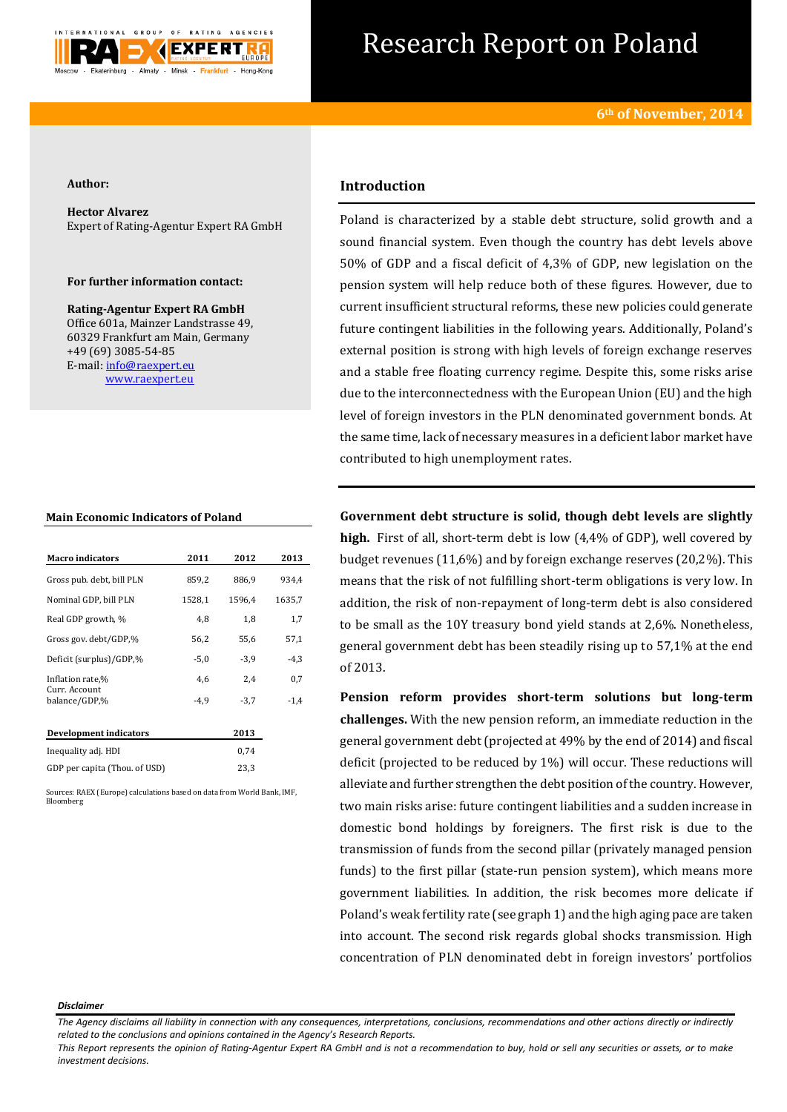

# Research Report on Poland

### **Author:**

**Hector Alvarez** Expert of Rating-Agentur Expert RA GmbH

# **For further information contact:**

**Rating-Agentur Expert RA GmbH** Office 601a, Mainzer Landstrasse 49, 60329 Frankfurt am Main, Germany +49 (69) 3085-54-85 E-mail[: info@raexpert.eu](mailto:info@raexpert.eu) [www.raexpert.eu](http://raexpert.eu/)

## **Main Economic Indicators of Poland**

| <b>Macro</b> indicators        | 2011   | 2012   | 2013   |
|--------------------------------|--------|--------|--------|
| Gross pub. debt, bill PLN      | 859,2  | 886,9  | 934,4  |
| Nominal GDP, bill PLN          | 1528,1 | 1596,4 | 1635,7 |
| Real GDP growth, %             | 4,8    | 1,8    | 1,7    |
| Gross gov. debt/GDP,%          | 56,2   | 55,6   | 57,1   |
| Deficit (surplus)/GDP,%        | $-5,0$ | $-3,9$ | $-4,3$ |
| Inflation rate,%               | 4,6    | 2,4    | 0,7    |
| Curr. Account<br>balance/GDP.% | $-4.9$ | $-3,7$ | $-1,4$ |
| Development indicators         |        | 2013   |        |
| Inequality adj. HDI            |        | 0,74   |        |
| GDP per capita (Thou. of USD)  |        | 23,3   |        |

Sources: RAEX (Europe) calculations based on data from World Bank, IMF, Bloomberg

# **Introduction**

Poland is characterized by a stable debt structure, solid growth and a sound financial system. Even though the country has debt levels above 50% of GDP and a fiscal deficit of 4,3% of GDP, new legislation on the pension system will help reduce both of these figures. However, due to current insufficient structural reforms, these new policies could generate future contingent liabilities in the following years. Additionally, Poland's external position is strong with high levels of foreign exchange reserves and a stable free floating currency regime. Despite this, some risks arise due to the interconnectedness with the European Union (EU) and the high level of foreign investors in the PLN denominated government bonds. At the same time, lack of necessary measures in a deficient labor market have contributed to high unemployment rates.

**Government debt structure is solid, though debt levels are slightly high.** First of all, short-term debt is low (4,4% of GDP), well covered by budget revenues (11,6%) and by foreign exchange reserves (20,2%). This means that the risk of not fulfilling short-term obligations is very low. In addition, the risk of non-repayment of long-term debt is also considered to be small as the 10Y treasury bond yield stands at 2,6%. Nonetheless, general government debt has been steadily rising up to 57,1% at the end of 2013.

**Pension reform provides short-term solutions but long-term challenges.** With the new pension reform, an immediate reduction in the general government debt (projected at 49% by the end of 2014) and fiscal deficit (projected to be reduced by 1%) will occur. These reductions will alleviate and further strengthen the debt position of the country. However, two main risks arise: future contingent liabilities and a sudden increase in domestic bond holdings by foreigners. The first risk is due to the transmission of funds from the second pillar (privately managed pension funds) to the first pillar (state-run pension system), which means more government liabilities. In addition, the risk becomes more delicate if Poland's weak fertility rate (see graph 1) and the high aging pace are taken into account. The second risk regards global shocks transmission. High concentration of PLN denominated debt in foreign investors' portfolios

#### *Disclaimer*

*The Agency disclaims all liability in connection with any consequences, interpretations, conclusions, recommendations and other actions directly or indirectly related to the conclusions and opinions contained in the Agency's Research Reports.*

*This Report represents the opinion of Rating-Agentur Expert RA GmbH and is not a recommendation to buy, hold or sell any securities or assets, or to make investment decisions.*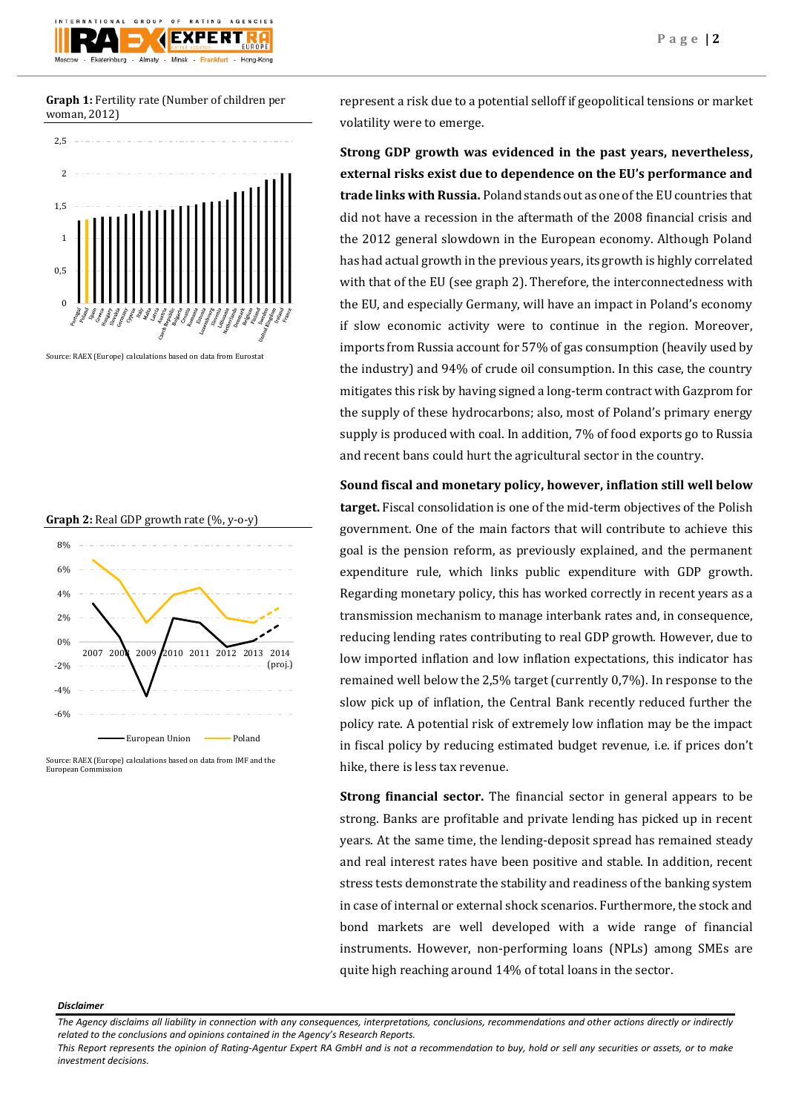

**Graph 1:** Fertility rate (Number of children per woman, 2012)



Source: RAEX (Europe) calculations based on data from Eurostat



Source: RAEX (Europe) calculations based on data from IMF and the European Commission

represent a risk due to a potential selloff if geopolitical tensions or market volatility were to emerge.

**Strong GDP growth was evidenced in the past years, nevertheless, external risks exist due to dependence on the EU's performance and trade links with Russia.** Poland stands out as one of the EU countries that did not have a recession in the aftermath of the 2008 financial crisis and the 2012 general slowdown in the European economy. Although Poland has had actual growth in the previous years, its growth is highly correlated with that of the EU (see graph 2). Therefore, the interconnectedness with the EU, and especially Germany, will have an impact in Poland's economy if slow economic activity were to continue in the region. Moreover, imports from Russia account for 57% of gas consumption (heavily used by the industry) and 94% of crude oil consumption. In this case, the country mitigates this risk by having signed a long-term contract with Gazprom for the supply of these hydrocarbons; also, most of Poland's primary energy supply is produced with coal. In addition, 7% of food exports go to Russia and recent bans could hurt the agricultural sector in the country.

**Sound fiscal and monetary policy, however, inflation still well below target.** Fiscal consolidation is one of the mid-term objectives of the Polish government. One of the main factors that will contribute to achieve this goal is the pension reform, as previously explained, and the permanent expenditure rule, which links public expenditure with GDP growth. Regarding monetary policy, this has worked correctly in recent years as a transmission mechanism to manage interbank rates and, in consequence, reducing lending rates contributing to real GDP growth. However, due to low imported inflation and low inflation expectations, this indicator has remained well below the 2,5% target (currently 0,7%). In response to the slow pick up of inflation, the Central Bank recently reduced further the policy rate. A potential risk of extremely low inflation may be the impact in fiscal policy by reducing estimated budget revenue, i.e. if prices don't hike, there is less tax revenue.

**Strong financial sector.** The financial sector in general appears to be strong. Banks are profitable and private lending has picked up in recent years. At the same time, the lending-deposit spread has remained steady and real interest rates have been positive and stable. In addition, recent stress tests demonstrate the stability and readiness of the banking system in case of internal or external shock scenarios. Furthermore, the stock and bond markets are well developed with a wide range of financial instruments. However, non-performing loans (NPLs) among SMEs are quite high reaching around 14% of total loans in the sector.

#### *Disclaimer*

*The Agency disclaims all liability in connection with any consequences, interpretations, conclusions, recommendations and other actions directly or indirectly related to the conclusions and opinions contained in the Agency's Research Reports.*

*This Report represents the opinion of Rating-Agentur Expert RA GmbH and is not a recommendation to buy, hold or sell any securities or assets, or to make investment decisions.*